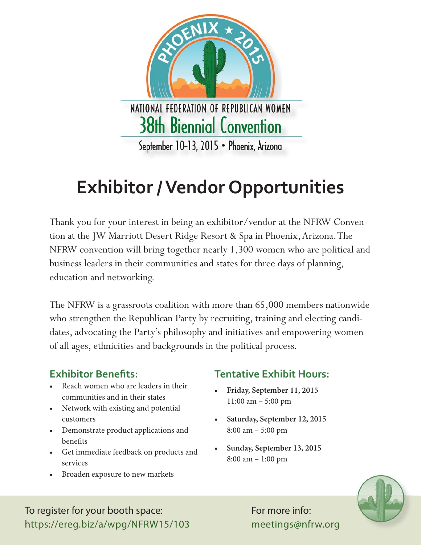

# **Exhibitor / Vendor Opportunities**

Thank you for your interest in being an exhibitor/vendor at the NFRW Convention at the JW Marriott Desert Ridge Resort & Spa in Phoenix, Arizona. The NFRW convention will bring together nearly 1,300 women who are political and business leaders in their communities and states for three days of planning, education and networking.

The NFRW is a grassroots coalition with more than 65,000 members nationwide who strengthen the Republican Party by recruiting, training and electing candidates, advocating the Party's philosophy and initiatives and empowering women of all ages, ethnicities and backgrounds in the political process.

### **Exhibitor Benefits:**

- Reach women who are leaders in their communities and in their states
- Network with existing and potential customers
- Demonstrate product applications and benefits
- Get immediate feedback on products and services
- Broaden exposure to new markets

## **Tentative Exhibit Hours:**

- **Friday, September 11, 2015** 11:00 am – 5:00 pm
- **Saturday, September 12, 2015** 8:00 am – 5:00 pm
- **Sunday, September 13, 2015** 8:00 am – 1:00 pm



To register for your booth space: https://ereg.biz/a/wpg/NFRW15/103 For more info: meetings@nfrw.org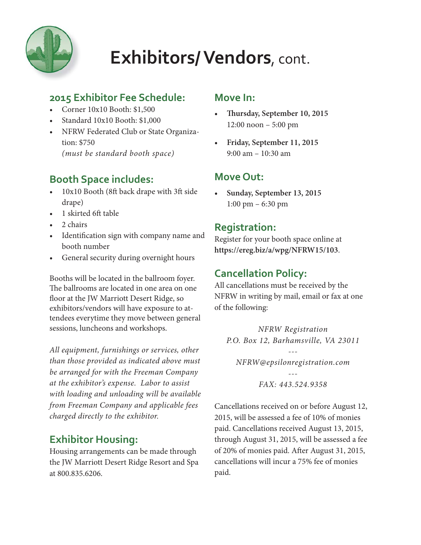

#### **2015 Exhibitor Fee Schedule:**

- Corner 10x10 Booth: \$1,500
- Standard 10x10 Booth: \$1,000
- NFRW Federated Club or State Organization: \$750 *(must be standard booth space)*

### **Booth Space includes:**

- 10x10 Booth (8ft back drape with 3ft side drape)
- 1 skirted 6ft table
- 2 chairs
- Identification sign with company name and booth number
- General security during overnight hours

Booths will be located in the ballroom foyer. The ballrooms are located in one area on one floor at the JW Marriott Desert Ridge, so exhibitors/vendors will have exposure to attendees everytime they move between general sessions, luncheons and workshops.

*All equipment, furnishings or services, other than those provided as indicated above must be arranged for with the Freeman Company at the exhibitor's expense. Labor to assist with loading and unloading will be available from Freeman Company and applicable fees charged directly to the exhibitor.*

## **Exhibitor Housing:**

Housing arrangements can be made through the JW Marriott Desert Ridge Resort and Spa at 800.835.6206.

#### **Move In:**

- **Thursday, September 10, 2015** 12:00 noon – 5:00 pm
- **Friday, September 11, 2015**  9:00 am – 10:30 am

### **Move Out:**

**• Sunday, September 13, 2015** 1:00 pm – 6:30 pm

#### **Registration:**

Register for your booth space online at **https://ereg.biz/a/wpg/NFRW15/103**.

#### **Cancellation Policy:**

All cancellations must be received by the NFRW in writing by mail, email or fax at one of the following:

*NFRW Registration P.O. Box 12, Barhamsville, VA 23011*

*--- NFRW@epsilonregistration.com*

> *--- FAX: 443.524.9358*

Cancellations received on or before August 12, 2015, will be assessed a fee of 10% of monies paid. Cancellations received August 13, 2015, through August 31, 2015, will be assessed a fee of 20% of monies paid. After August 31, 2015, cancellations will incur a 75% fee of monies paid.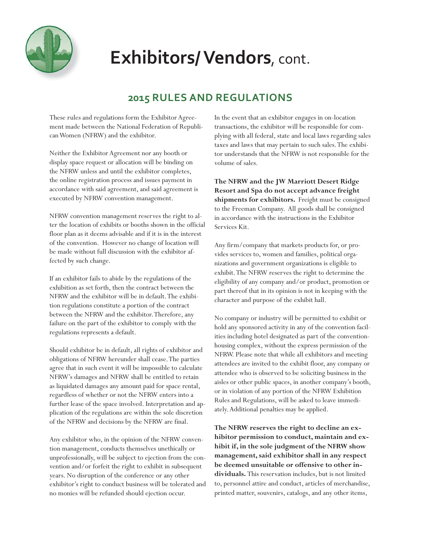

#### **2015 RULES AND REGULATIONS**

These rules and regulations form the Exhibitor Agreement made between the National Federation of Republican Women (NFRW) and the exhibitor.

Neither the Exhibitor Agreement nor any booth or display space request or allocation will be binding on the NFRW unless and until the exhibitor completes, the online registration process and issues payment in accordance with said agreement, and said agreement is executed by NFRW convention management.

NFRW convention management reserves the right to alter the location of exhibits or booths shown in the official floor plan as it deems advisable and if it is in the interest of the convention. However no change of location will be made without full discussion with the exhibitor affected by such change.

If an exhibitor fails to abide by the regulations of the exhibition as set forth, then the contract between the NFRW and the exhibitor will be in default. The exhibition regulations constitute a portion of the contract between the NFRW and the exhibitor. Therefore, any failure on the part of the exhibitor to comply with the regulations represents a default.

Should exhibitor be in default, all rights of exhibitor and obligations of NFRW hereunder shall cease. The parties agree that in such event it will be impossible to calculate NFRW's damages and NFRW shall be entitled to retain as liquidated damages any amount paid for space rental, regardless of whether or not the NFRW enters into a further lease of the space involved. Interpretation and application of the regulations are within the sole discretion of the NFRW and decisions by the NFRW are final.

Any exhibitor who, in the opinion of the NFRW convention management, conducts themselves unethically or unprofessionally, will be subject to ejection from the convention and/or forfeit the right to exhibit in subsequent years. No disruption of the conference or any other exhibitor's right to conduct business will be tolerated and no monies will be refunded should ejection occur.

In the event that an exhibitor engages in on-location transactions, the exhibitor will be responsible for complying with all federal, state and local laws regarding sales taxes and laws that may pertain to such sales. The exhibitor understands that the NFRW is not responsible for the volume of sales.

**The NFRW and the JW Marriott Desert Ridge Resort and Spa do not accept advance freight shipments for exhibitors.** Freight must be consigned to the Freeman Company. All goods shall be consigned in accordance with the instructions in the Exhibitor Services Kit.

Any firm/company that markets products for, or provides services to, women and families, political organizations and government organizations is eligible to exhibit. The NFRW reserves the right to determine the eligibility of any company and/or product, promotion or part thereof that in its opinion is not in keeping with the character and purpose of the exhibit hall.

No company or industry will be permitted to exhibit or hold any sponsored activity in any of the convention facilities including hotel designated as part of the conventionhousing complex, without the express permission of the NFRW. Please note that while all exhibitors and meeting attendees are invited to the exhibit floor, any company or attendee who is observed to be soliciting business in the aisles or other public spaces, in another company's booth, or in violation of any portion of the NFRW Exhibition Rules and Regulations, will be asked to leave immediately. Additional penalties may be applied.

**The NFRW reserves the right to decline an exhibitor permission to conduct, maintain and exhibit if, in the sole judgment of the NFRW show management, said exhibitor shall in any respect be deemed unsuitable or offensive to other individuals.** This reservation includes, but is not limited to, personnel attire and conduct, articles of merchandise, printed matter, souvenirs, catalogs, and any other items,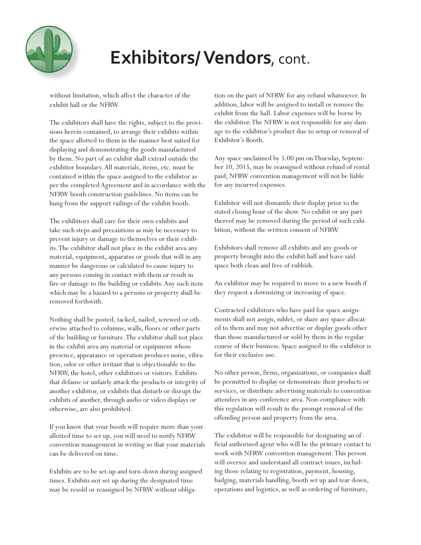

without limitation, which affect the character of the exhibit hall or the NFRW.

The exhibitors shall have the rights, subject to the provisions herein contained, to arrange their exhibits within the space allotted to them in the manner best suited for displaying and demonstrating the goods manufactured by them. No part of an exhibit shall extend outside the exhibitor boundary. All materials, items, etc. must be contained within the space assigned to the exhibitor as per the completed Agreement and in accordance with the NFRW booth construction guidelines. No items can be hung from the support railings of the exhibit booth.

The exhibitors shall care for their own exhibits and take such steps and precautions as may be necessary to prevent injury or damage to themselves or their exhibits. The exhibitor shall not place in the exhibit area any material, equipment, apparatus or goods that will in any manner be dangerous or calculated to cause injury to any persons coming in contact with them or result in fire or damage to the building or exhibits. Any such item which may be a hazard to a persons or property shall be removed forthwith.

Nothing shall be posted, tacked, nailed, screwed or otherwise attached to columns, walls, floors or other parts of the building or furniture. The exhibitor shall not place in the exhibit area any material or equipment whose presence, appearance or operation produces noise, vibration, odor or other irritant that is objectionable to the NFRW, the hotel, other exhibitors or visitors. Exhibits that defame or unfairly attack the products or integrity of another exhibitor, or exhibits that disturb or disrupt the exhibits of another, through audio or video displays or otherwise, are also prohibited.

If you know that your booth will require more than your allotted time to set up, you will need to notify NFRW convention management in writing so that your materials can be delivered on time.

Exhibits are to be set-up and torn-down during assigned times. Exhibits not set up during the designated time may be resold or reassigned by NFRW without obligation on the part of NFRW for any refund whatsoever. In addition, labor will be assigned to install or remove the exhibit from the hall. Labor expenses will be borne by the exhibitor. The NFRW is not responsible for any damage to the exhibitor's product due to setup or removal of Exhibitor's Booth.

Any space unclaimed by 5:00 pm on Thursday, September 10, 2015, may be reassigned without refund of rental paid; NFRW convention management will not be liable for any incurred expenses.

Exhibitor will not dismantle their display prior to the stated closing hour of the show. No exhibit or any part thereof may be removed during the period of such exhibition, without the written consent of NFRW.

Exhibitors shall remove all exhibits and any goods or property brought into the exhibit hall and leave said space both clean and free of rubbish.

An exhibitor may be required to move to a new booth if they request a downsizing or increasing of space.

Contracted exhibitors who have paid for space assignments shall not assign, sublet, or share any space allocated to them and may not advertise or display goods other than those manufactured or sold by them in the regular course of their business. Space assigned to the exhibitor is for their exclusive use.

No other person, firms, organizations, or companies shall be permitted to display or demonstrate their products or services, or distribute advertising materials to convention attendees in any conference area. Non-compliance with this regulation will result in the prompt removal of the offending person and property from the area.

The exhibitor will be responsible for designating an official authorized agent who will be the primary contact to work with NFRW convention management. This person will oversee and understand all contract issues, including those relating to registration, payment, housing, badging, materials handling, booth set up and tear down, operations and logistics, as well as ordering of furniture,